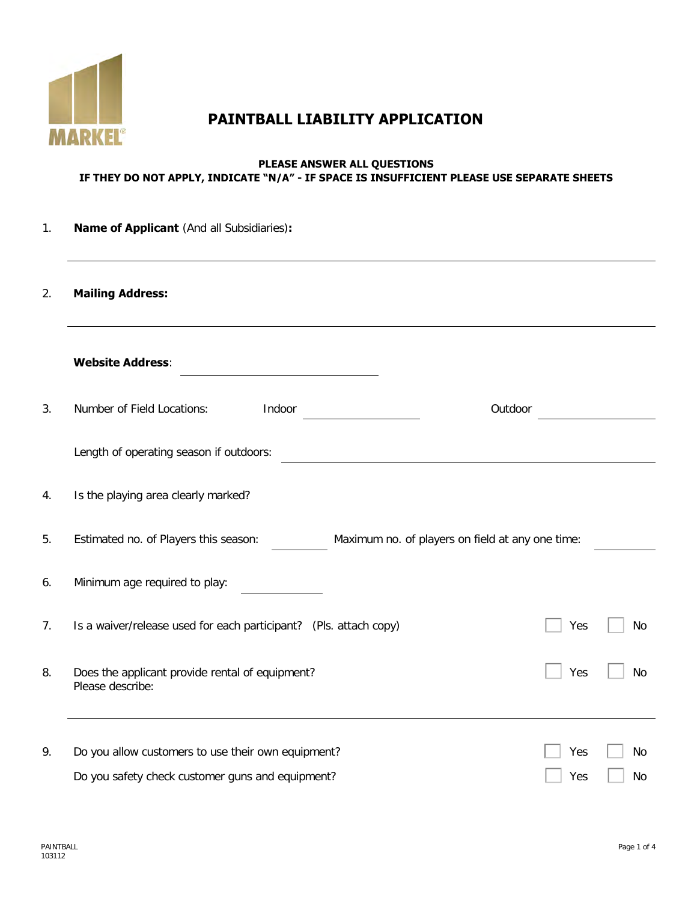

# **PAINTBALL LIABILITY APPLICATION**

#### **PLEASE ANSWER ALL QUESTIONS IF THEY DO NOT APPLY, INDICATE "N/A" - IF SPACE IS INSUFFICIENT PLEASE USE SEPARATE SHEETS**

| 1. | <b>Name of Applicant</b> (And all Subsidiaries):                                          |     |           |  |  |
|----|-------------------------------------------------------------------------------------------|-----|-----------|--|--|
| 2. | <b>Mailing Address:</b>                                                                   |     |           |  |  |
|    | <b>Website Address:</b>                                                                   |     |           |  |  |
| 3. | Number of Field Locations:<br>Indoor<br>Outdoor                                           |     |           |  |  |
|    | Length of operating season if outdoors:                                                   |     |           |  |  |
| 4. | Is the playing area clearly marked?                                                       |     |           |  |  |
| 5. | Estimated no. of Players this season:<br>Maximum no. of players on field at any one time: |     |           |  |  |
| 6. | Minimum age required to play:                                                             |     |           |  |  |
| 7. | Is a waiver/release used for each participant? (Pls. attach copy)                         | Yes | No        |  |  |
| 8. | Does the applicant provide rental of equipment?<br>Please describe:                       | Yes | <b>No</b> |  |  |
| 9. | Do you allow customers to use their own equipment?                                        | Yes | No        |  |  |
|    | Do you safety check customer guns and equipment?                                          | Yes | No        |  |  |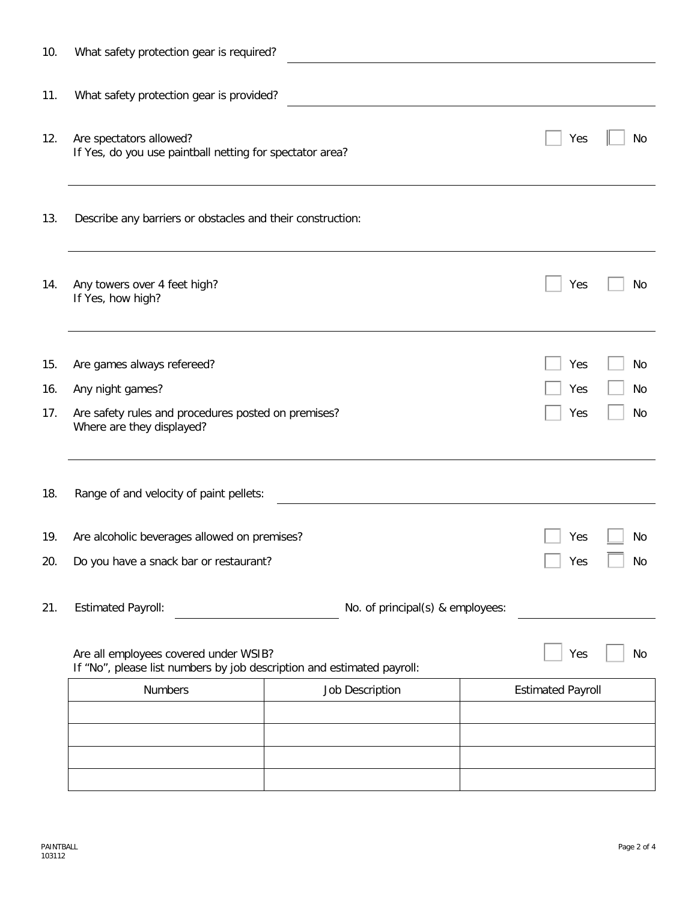| 10. | What safety protection gear is required?                                                                                                                                         |                 |                          |
|-----|----------------------------------------------------------------------------------------------------------------------------------------------------------------------------------|-----------------|--------------------------|
| 11. | What safety protection gear is provided?                                                                                                                                         |                 |                          |
| 12. | Are spectators allowed?<br>If Yes, do you use paintball netting for spectator area?                                                                                              |                 | Yes<br>No                |
| 13. | Describe any barriers or obstacles and their construction:                                                                                                                       |                 |                          |
| 14. | Any towers over 4 feet high?<br>If Yes, how high?                                                                                                                                |                 | Yes<br>No                |
| 15. | Are games always refereed?                                                                                                                                                       |                 | No<br>Yes                |
| 16. | Any night games?                                                                                                                                                                 |                 | Yes<br>No                |
| 17. | Are safety rules and procedures posted on premises?<br>Where are they displayed?                                                                                                 |                 | Yes<br>No                |
| 18. | Range of and velocity of paint pellets:                                                                                                                                          |                 |                          |
| 19. | Are alcoholic beverages allowed on premises?                                                                                                                                     | Yes<br>No       |                          |
| 20. | Do you have a snack bar or restaurant?                                                                                                                                           | No<br>Yes       |                          |
| 21. | <b>Estimated Payroll:</b><br>No. of principal(s) & employees:<br>Are all employees covered under WSIB?<br>If "No", please list numbers by job description and estimated payroll: |                 |                          |
|     |                                                                                                                                                                                  |                 | Yes<br>No                |
|     | <b>Numbers</b>                                                                                                                                                                   | Job Description | <b>Estimated Payroll</b> |
|     |                                                                                                                                                                                  |                 |                          |
|     |                                                                                                                                                                                  |                 |                          |
|     |                                                                                                                                                                                  |                 |                          |
|     |                                                                                                                                                                                  |                 |                          |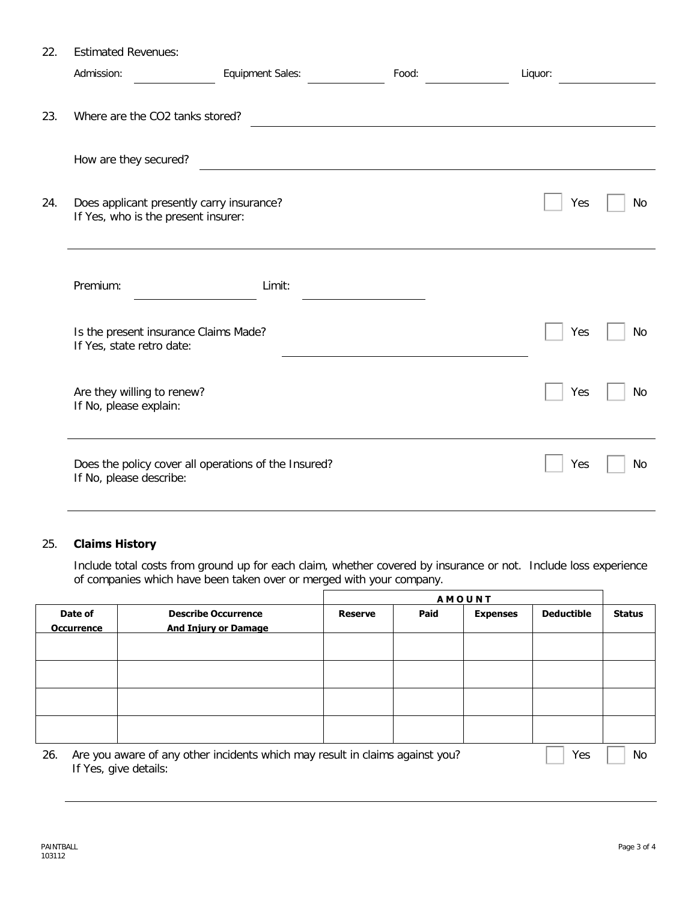| 22. | <b>Estimated Revenues:</b>                                                       |                                                      |       |         |           |
|-----|----------------------------------------------------------------------------------|------------------------------------------------------|-------|---------|-----------|
|     | Admission:                                                                       | Equipment Sales:                                     | Food: | Liquor: |           |
|     |                                                                                  |                                                      |       |         |           |
| 23. | Where are the CO2 tanks stored?                                                  |                                                      |       |         |           |
|     |                                                                                  |                                                      |       |         |           |
|     | How are they secured?                                                            |                                                      |       |         |           |
| 24. | Does applicant presently carry insurance?<br>If Yes, who is the present insurer: |                                                      |       | Yes     | No        |
|     |                                                                                  |                                                      |       |         |           |
|     | Premium:                                                                         | Limit:                                               |       |         |           |
|     |                                                                                  |                                                      |       |         |           |
|     | Is the present insurance Claims Made?<br>If Yes, state retro date:               |                                                      |       | Yes     | No        |
|     |                                                                                  |                                                      |       |         |           |
|     | Are they willing to renew?                                                       |                                                      |       | Yes     | <b>No</b> |
|     | If No, please explain:                                                           |                                                      |       |         |           |
|     |                                                                                  |                                                      |       |         |           |
|     | If No, please describe:                                                          | Does the policy cover all operations of the Insured? |       | Yes     | No        |
|     |                                                                                  |                                                      |       |         |           |

### 25. **Claims History**

Include total costs from ground up for each claim, whether covered by insurance or not. Include loss experience of companies which have been taken over or merged with your company.

|                              |                                                                              |                |      | <b>AMOUNT</b>   |                   |               |
|------------------------------|------------------------------------------------------------------------------|----------------|------|-----------------|-------------------|---------------|
| Date of<br><b>Occurrence</b> | <b>Describe Occurrence</b><br><b>And Injury or Damage</b>                    | <b>Reserve</b> | Paid | <b>Expenses</b> | <b>Deductible</b> | <b>Status</b> |
|                              |                                                                              |                |      |                 |                   |               |
|                              |                                                                              |                |      |                 |                   |               |
|                              |                                                                              |                |      |                 |                   |               |
|                              |                                                                              |                |      |                 |                   |               |
| 26.<br>If Yes, give details: | Are you aware of any other incidents which may result in claims against you? |                |      |                 | Yes               | No            |